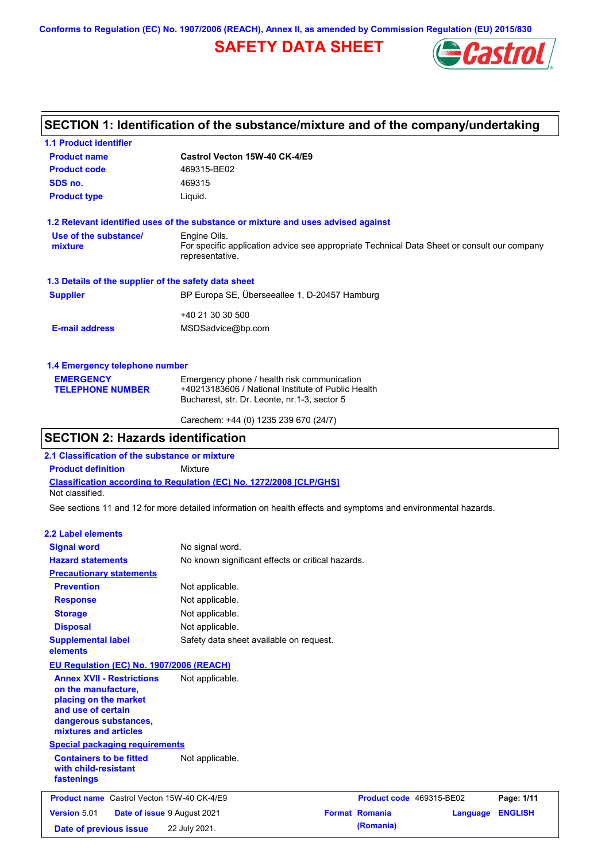**Conforms to Regulation (EC) No. 1907/2006 (REACH), Annex II, as amended by Commission Regulation (EU) 2015/830**

# **SAFETY DATA SHEET**



## **SECTION 1: Identification of the substance/mixture and of the company/undertaking**

| <b>1.1 Product identifier</b>                        |                                                                                                                |
|------------------------------------------------------|----------------------------------------------------------------------------------------------------------------|
| <b>Product name</b>                                  | Castrol Vecton 15W-40 CK-4/E9                                                                                  |
| <b>Product code</b>                                  | 469315-BE02                                                                                                    |
| SDS no.                                              | 469315                                                                                                         |
| <b>Product type</b>                                  | Liquid.                                                                                                        |
|                                                      | 1.2 Relevant identified uses of the substance or mixture and uses advised against                              |
| Use of the substance/                                | Engine Oils.                                                                                                   |
| mixture                                              | For specific application advice see appropriate Technical Data Sheet or consult our company<br>representative. |
| 1.3 Details of the supplier of the safety data sheet |                                                                                                                |
| <b>Supplier</b>                                      | BP Europa SE, Überseeallee 1, D-20457 Hamburg                                                                  |
|                                                      | +40 21 30 30 500                                                                                               |
| <b>E-mail address</b>                                | MSDSadvice@bp.com                                                                                              |
| 1.4 Emergency telephone number                       |                                                                                                                |
| <b>EMERGENCY</b>                                     | Emergency phone / health risk communication                                                                    |
| <b>TELEPHONE NUMBER</b>                              | +40213183606 / National Institute of Public Health                                                             |
|                                                      | Bucharest, str. Dr. Leonte, nr.1-3, sector 5                                                                   |

### Carechem: +44 (0) 1235 239 670 (24/7)

## **SECTION 2: Hazards identification**

**2.1 Classification of the substance or mixture**

**Product definition** Mixture

**Classification according to Regulation (EC) No. 1272/2008 [CLP/GHS]** Not classified.

See sections 11 and 12 for more detailed information on health effects and symptoms and environmental hazards.

### **2.2 Label elements**

| <b>Signal word</b>                                                                                                                                       | No signal word.                                   |                          |          |                |
|----------------------------------------------------------------------------------------------------------------------------------------------------------|---------------------------------------------------|--------------------------|----------|----------------|
| <b>Hazard statements</b>                                                                                                                                 | No known significant effects or critical hazards. |                          |          |                |
| <b>Precautionary statements</b>                                                                                                                          |                                                   |                          |          |                |
| <b>Prevention</b>                                                                                                                                        | Not applicable.                                   |                          |          |                |
| <b>Response</b>                                                                                                                                          | Not applicable.                                   |                          |          |                |
| <b>Storage</b>                                                                                                                                           | Not applicable.                                   |                          |          |                |
| <b>Disposal</b>                                                                                                                                          | Not applicable.                                   |                          |          |                |
| <b>Supplemental label</b><br>elements                                                                                                                    | Safety data sheet available on request.           |                          |          |                |
| EU Regulation (EC) No. 1907/2006 (REACH)                                                                                                                 |                                                   |                          |          |                |
| <b>Annex XVII - Restrictions</b><br>on the manufacture,<br>placing on the market<br>and use of certain<br>dangerous substances,<br>mixtures and articles | Not applicable.                                   |                          |          |                |
| <b>Special packaging requirements</b>                                                                                                                    |                                                   |                          |          |                |
| <b>Containers to be fitted</b><br>with child-resistant<br>fastenings                                                                                     | Not applicable.                                   |                          |          |                |
| <b>Product name</b> Castrol Vecton 15W-40 CK-4/E9                                                                                                        |                                                   | Product code 469315-BE02 |          | Page: 1/11     |
| <b>Version 5.01</b><br>Date of issue 9 August 2021                                                                                                       |                                                   | <b>Format Romania</b>    | Language | <b>ENGLISH</b> |
| Date of previous issue                                                                                                                                   | 22 July 2021.                                     | (Romania)                |          |                |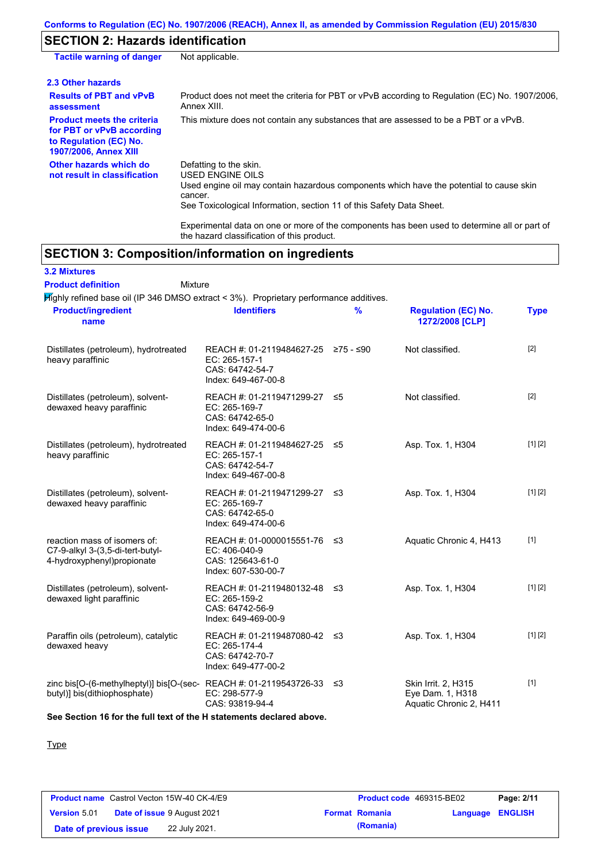## **SECTION 2: Hazards identification**

| <b>Tactile warning of danger</b>                                                                                         | Not applicable.                                                                                                                                                                                                          |
|--------------------------------------------------------------------------------------------------------------------------|--------------------------------------------------------------------------------------------------------------------------------------------------------------------------------------------------------------------------|
| 2.3 Other hazards                                                                                                        |                                                                                                                                                                                                                          |
| <b>Results of PBT and vPvB</b><br>assessment                                                                             | Product does not meet the criteria for PBT or vPvB according to Regulation (EC) No. 1907/2006,<br>Annex XIII.                                                                                                            |
| <b>Product meets the criteria</b><br>for PBT or vPvB according<br>to Regulation (EC) No.<br><b>1907/2006, Annex XIII</b> | This mixture does not contain any substances that are assessed to be a PBT or a vPvB.                                                                                                                                    |
| Other hazards which do<br>not result in classification                                                                   | Defatting to the skin.<br>USED ENGINE OILS<br>Used engine oil may contain hazardous components which have the potential to cause skin<br>cancer.<br>See Toxicological Information, section 11 of this Safety Data Sheet. |

Experimental data on one or more of the components has been used to determine all or part of the hazard classification of this product.

## **SECTION 3: Composition/information on ingredients**

Mixture

# **3.2 Mixtures**

**Product definition**

Highly refined base oil (IP 346 DMSO extract < 3%). Proprietary performance additives. **Product/ingredient** 

| <b>Product/ingredient</b><br>name                                                                          | <b>Identifiers</b>                                                                             | $\frac{9}{6}$ | <b>Regulation (EC) No.</b><br>1272/2008 [CLP]                      | <b>Type</b> |
|------------------------------------------------------------------------------------------------------------|------------------------------------------------------------------------------------------------|---------------|--------------------------------------------------------------------|-------------|
| Distillates (petroleum), hydrotreated<br>heavy paraffinic                                                  | REACH #: 01-2119484627-25 ≥75 - ≤90<br>EC: 265-157-1<br>CAS: 64742-54-7<br>Index: 649-467-00-8 |               | Not classified.                                                    | $[2]$       |
| Distillates (petroleum), solvent-<br>dewaxed heavy paraffinic                                              | REACH #: 01-2119471299-27 ≤5<br>EC: 265-169-7<br>CAS: 64742-65-0<br>Index: 649-474-00-6        |               | Not classified.                                                    | $[2]$       |
| Distillates (petroleum), hydrotreated<br>heavy paraffinic                                                  | REACH #: 01-2119484627-25 ≤5<br>EC: 265-157-1<br>CAS: 64742-54-7<br>Index: 649-467-00-8        |               | Asp. Tox. 1, H304                                                  | [1] [2]     |
| Distillates (petroleum), solvent-<br>dewaxed heavy paraffinic                                              | REACH #: 01-2119471299-27 ≤3<br>EC: 265-169-7<br>CAS: 64742-65-0<br>Index: 649-474-00-6        |               | Asp. Tox. 1, H304                                                  | [1] [2]     |
| reaction mass of isomers of:<br>C7-9-alkyl 3-(3,5-di-tert-butyl-<br>4-hydroxyphenyl)propionate             | REACH #: 01-0000015551-76 ≤3<br>EC: 406-040-9<br>CAS: 125643-61-0<br>Index: 607-530-00-7       |               | Aquatic Chronic 4, H413                                            | $[1]$       |
| Distillates (petroleum), solvent-<br>dewaxed light paraffinic                                              | REACH #: 01-2119480132-48 ≤3<br>EC: 265-159-2<br>CAS: 64742-56-9<br>Index: 649-469-00-9        |               | Asp. Tox. 1, H304                                                  | [1] [2]     |
| Paraffin oils (petroleum), catalytic<br>dewaxed heavy                                                      | REACH #: 01-2119487080-42 ≤3<br>EC: 265-174-4<br>CAS: 64742-70-7<br>Index: 649-477-00-2        |               | Asp. Tox. 1, H304                                                  | [1] [2]     |
| zinc bis[O-(6-methylheptyl)] bis[O-(sec-REACH #: 01-2119543726-33 $\leq$ 3<br>butyl)] bis(dithiophosphate) | EC: 298-577-9<br>CAS: 93819-94-4                                                               |               | Skin Irrit. 2, H315<br>Eye Dam. 1, H318<br>Aquatic Chronic 2, H411 | $[1]$       |
|                                                                                                            |                                                                                                |               |                                                                    |             |

**See Section 16 for the full text of the H statements declared above.**

**Type** 

|                        | <b>Product name</b> Castrol Vecton 15W-40 CK-4/E9 | <b>Product code</b> 469315-BE02 |                         | Page: 2/11 |
|------------------------|---------------------------------------------------|---------------------------------|-------------------------|------------|
| <b>Version</b> 5.01    | <b>Date of issue 9 August 2021</b>                | <b>Format Romania</b>           | <b>Language ENGLISH</b> |            |
| Date of previous issue | 22 July 2021.                                     | (Romania)                       |                         |            |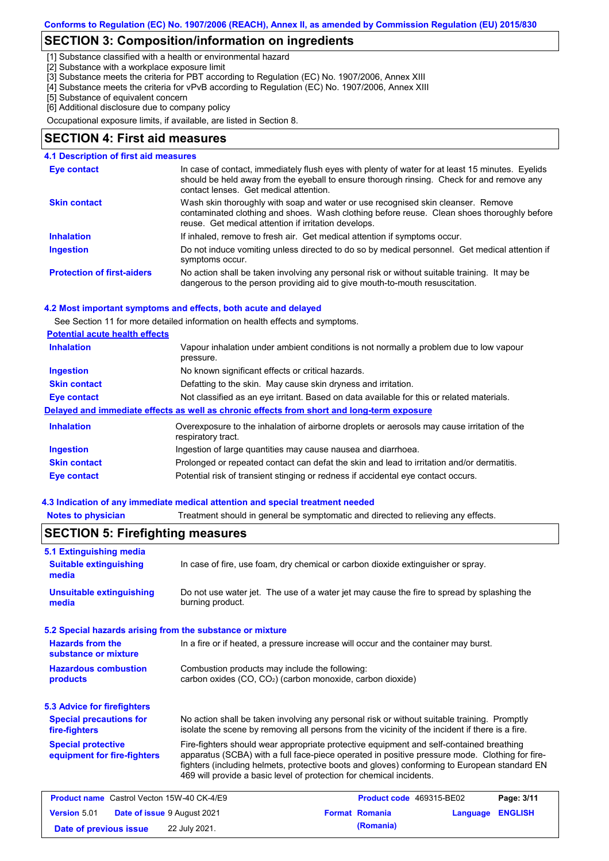## **SECTION 3: Composition/information on ingredients**

[1] Substance classified with a health or environmental hazard

[2] Substance with a workplace exposure limit

[3] Substance meets the criteria for PBT according to Regulation (EC) No. 1907/2006, Annex XIII

- [4] Substance meets the criteria for vPvB according to Regulation (EC) No. 1907/2006, Annex XIII
- [5] Substance of equivalent concern

[6] Additional disclosure due to company policy

Occupational exposure limits, if available, are listed in Section 8.

### **SECTION 4: First aid measures**

### **4.1 Description of first aid measures**

| Eye contact                       | In case of contact, immediately flush eyes with plenty of water for at least 15 minutes. Eyelids<br>should be held away from the eyeball to ensure thorough rinsing. Check for and remove any<br>contact lenses. Get medical attention. |
|-----------------------------------|-----------------------------------------------------------------------------------------------------------------------------------------------------------------------------------------------------------------------------------------|
| <b>Skin contact</b>               | Wash skin thoroughly with soap and water or use recognised skin cleanser. Remove<br>contaminated clothing and shoes. Wash clothing before reuse. Clean shoes thoroughly before<br>reuse. Get medical attention if irritation develops.  |
| <b>Inhalation</b>                 | If inhaled, remove to fresh air. Get medical attention if symptoms occur.                                                                                                                                                               |
| <b>Ingestion</b>                  | Do not induce vomiting unless directed to do so by medical personnel. Get medical attention if<br>symptoms occur.                                                                                                                       |
| <b>Protection of first-aiders</b> | No action shall be taken involving any personal risk or without suitable training. It may be<br>dangerous to the person providing aid to give mouth-to-mouth resuscitation.                                                             |

#### **4.2 Most important symptoms and effects, both acute and delayed**

See Section 11 for more detailed information on health effects and symptoms.

| <b>Potential acute health effects</b> |  |  |
|---------------------------------------|--|--|
|                                       |  |  |

| <b>Inhalation</b>   | Vapour inhalation under ambient conditions is not normally a problem due to low vapour<br>pressure.               |
|---------------------|-------------------------------------------------------------------------------------------------------------------|
| <b>Ingestion</b>    | No known significant effects or critical hazards.                                                                 |
| <b>Skin contact</b> | Defatting to the skin. May cause skin dryness and irritation.                                                     |
| Eye contact         | Not classified as an eye irritant. Based on data available for this or related materials.                         |
|                     | Delayed and immediate effects as well as chronic effects from short and long-term exposure                        |
| <b>Inhalation</b>   | Overexposure to the inhalation of airborne droplets or aerosols may cause irritation of the<br>respiratory tract. |
| <b>Ingestion</b>    | Ingestion of large quantities may cause nausea and diarrhoea.                                                     |
| <b>Skin contact</b> | Prolonged or repeated contact can defat the skin and lead to irritation and/or dermatitis.                        |
| Eye contact         | Potential risk of transient stinging or redness if accidental eye contact occurs.                                 |

#### **4.3 Indication of any immediate medical attention and special treatment needed**

**Notes to physician** Treatment should in general be symptomatic and directed to relieving any effects.

| 5.1 Extinguishing media                                                     |                                                                                                                                                                                                                                                                                                                                                                   |  |                          |                |            |
|-----------------------------------------------------------------------------|-------------------------------------------------------------------------------------------------------------------------------------------------------------------------------------------------------------------------------------------------------------------------------------------------------------------------------------------------------------------|--|--------------------------|----------------|------------|
| <b>Suitable extinguishing</b><br>media                                      | In case of fire, use foam, dry chemical or carbon dioxide extinguisher or spray.                                                                                                                                                                                                                                                                                  |  |                          |                |            |
| <b>Unsuitable extinguishing</b><br>media                                    | Do not use water jet. The use of a water jet may cause the fire to spread by splashing the<br>burning product.                                                                                                                                                                                                                                                    |  |                          |                |            |
| 5.2 Special hazards arising from the substance or mixture                   |                                                                                                                                                                                                                                                                                                                                                                   |  |                          |                |            |
| <b>Hazards from the</b><br>substance or mixture                             | In a fire or if heated, a pressure increase will occur and the container may burst.                                                                                                                                                                                                                                                                               |  |                          |                |            |
| <b>Hazardous combustion</b><br>products                                     | Combustion products may include the following:<br>carbon oxides (CO, CO <sub>2</sub> ) (carbon monoxide, carbon dioxide)                                                                                                                                                                                                                                          |  |                          |                |            |
| <b>5.3 Advice for firefighters</b>                                          |                                                                                                                                                                                                                                                                                                                                                                   |  |                          |                |            |
| <b>Special precautions for</b><br>fire-fighters                             | No action shall be taken involving any personal risk or without suitable training. Promptly<br>isolate the scene by removing all persons from the vicinity of the incident if there is a fire.                                                                                                                                                                    |  |                          |                |            |
| <b>Special protective</b><br>equipment for fire-fighters                    | Fire-fighters should wear appropriate protective equipment and self-contained breathing<br>apparatus (SCBA) with a full face-piece operated in positive pressure mode. Clothing for fire-<br>fighters (including helmets, protective boots and gloves) conforming to European standard EN<br>469 will provide a basic level of protection for chemical incidents. |  |                          |                |            |
| <b>Product name</b> Castrol Vecton 15W-40 CK-4/E9                           |                                                                                                                                                                                                                                                                                                                                                                   |  | Product code 469315-BE02 |                | Page: 3/11 |
| <b>Format Romania</b><br><b>Version 5.01</b><br>Date of issue 9 August 2021 |                                                                                                                                                                                                                                                                                                                                                                   |  | Language                 | <b>ENGLISH</b> |            |
| Date of previous issue                                                      | 22 July 2021.                                                                                                                                                                                                                                                                                                                                                     |  | (Romania)                |                |            |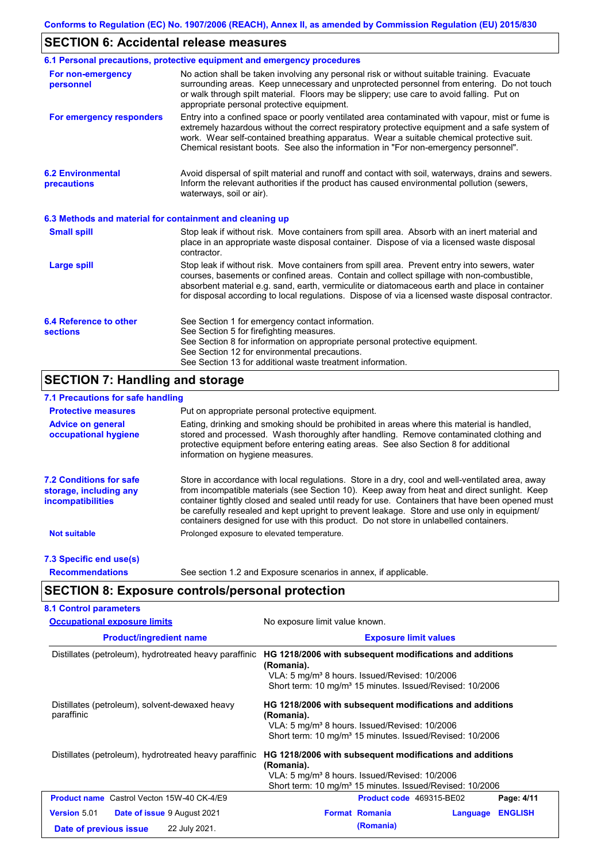## **SECTION 6: Accidental release measures**

|                                                          | 6.1 Personal precautions, protective equipment and emergency procedures                                                                                                                                                                                                                                                                                                                        |
|----------------------------------------------------------|------------------------------------------------------------------------------------------------------------------------------------------------------------------------------------------------------------------------------------------------------------------------------------------------------------------------------------------------------------------------------------------------|
| For non-emergency<br>personnel                           | No action shall be taken involving any personal risk or without suitable training. Evacuate<br>surrounding areas. Keep unnecessary and unprotected personnel from entering. Do not touch<br>or walk through spilt material. Floors may be slippery; use care to avoid falling. Put on<br>appropriate personal protective equipment.                                                            |
| For emergency responders                                 | Entry into a confined space or poorly ventilated area contaminated with vapour, mist or fume is<br>extremely hazardous without the correct respiratory protective equipment and a safe system of<br>work. Wear self-contained breathing apparatus. Wear a suitable chemical protective suit.<br>Chemical resistant boots. See also the information in "For non-emergency personnel".           |
| <b>6.2 Environmental</b><br>precautions                  | Avoid dispersal of spilt material and runoff and contact with soil, waterways, drains and sewers.<br>Inform the relevant authorities if the product has caused environmental pollution (sewers,<br>waterways, soil or air).                                                                                                                                                                    |
| 6.3 Methods and material for containment and cleaning up |                                                                                                                                                                                                                                                                                                                                                                                                |
| <b>Small spill</b>                                       | Stop leak if without risk. Move containers from spill area. Absorb with an inert material and<br>place in an appropriate waste disposal container. Dispose of via a licensed waste disposal<br>contractor.                                                                                                                                                                                     |
| <b>Large spill</b>                                       | Stop leak if without risk. Move containers from spill area. Prevent entry into sewers, water<br>courses, basements or confined areas. Contain and collect spillage with non-combustible,<br>absorbent material e.g. sand, earth, vermiculite or diatomaceous earth and place in container<br>for disposal according to local regulations. Dispose of via a licensed waste disposal contractor. |
| 6.4 Reference to other<br><b>sections</b>                | See Section 1 for emergency contact information.<br>See Section 5 for firefighting measures.<br>See Section 8 for information on appropriate personal protective equipment.<br>See Section 12 for environmental precautions.<br>See Section 13 for additional waste treatment information.                                                                                                     |

# **SECTION 7: Handling and storage**

## **7.1 Precautions for safe handling**

| <b>Protective measures</b>                                                           | Put on appropriate personal protective equipment.                                                                                                                                                                                                                                                                                                                                                                                                                                        |
|--------------------------------------------------------------------------------------|------------------------------------------------------------------------------------------------------------------------------------------------------------------------------------------------------------------------------------------------------------------------------------------------------------------------------------------------------------------------------------------------------------------------------------------------------------------------------------------|
| <b>Advice on general</b><br>occupational hygiene                                     | Eating, drinking and smoking should be prohibited in areas where this material is handled,<br>stored and processed. Wash thoroughly after handling. Remove contaminated clothing and<br>protective equipment before entering eating areas. See also Section 8 for additional<br>information on hygiene measures.                                                                                                                                                                         |
| <b>7.2 Conditions for safe</b><br>storage, including any<br><i>incompatibilities</i> | Store in accordance with local requiations. Store in a dry, cool and well-ventilated area, away<br>from incompatible materials (see Section 10). Keep away from heat and direct sunlight. Keep<br>container tightly closed and sealed until ready for use. Containers that have been opened must<br>be carefully resealed and kept upright to prevent leakage. Store and use only in equipment/<br>containers designed for use with this product. Do not store in unlabelled containers. |
| <b>Not suitable</b>                                                                  | Prolonged exposure to elevated temperature.                                                                                                                                                                                                                                                                                                                                                                                                                                              |
| 7.3 Specific end use(s)                                                              |                                                                                                                                                                                                                                                                                                                                                                                                                                                                                          |
| <b>Recommendations</b>                                                               | See section 1.2 and Exposure scenarios in annex, if applicable.                                                                                                                                                                                                                                                                                                                                                                                                                          |

# **SECTION 8: Exposure controls/personal protection**

| <b>Occupational exposure limits</b>                                                                  | No exposure limit value known.                                                                                                                                                                              |  |  |  |
|------------------------------------------------------------------------------------------------------|-------------------------------------------------------------------------------------------------------------------------------------------------------------------------------------------------------------|--|--|--|
| <b>Product/ingredient name</b>                                                                       | <b>Exposure limit values</b>                                                                                                                                                                                |  |  |  |
| Distillates (petroleum), hydrotreated heavy paraffinic                                               | HG 1218/2006 with subsequent modifications and additions<br>(Romania).<br>VLA: 5 mg/m <sup>3</sup> 8 hours. Issued/Revised: 10/2006<br>Short term: 10 mg/m <sup>3</sup> 15 minutes. Issued/Revised: 10/2006 |  |  |  |
| Distillates (petroleum), solvent-dewaxed heavy<br>paraffinic                                         | HG 1218/2006 with subsequent modifications and additions<br>(Romania).<br>VLA: 5 mg/m <sup>3</sup> 8 hours. Issued/Revised: 10/2006<br>Short term: 10 mg/m <sup>3</sup> 15 minutes. Issued/Revised: 10/2006 |  |  |  |
| Distillates (petroleum), hydrotreated heavy paraffinic                                               | HG 1218/2006 with subsequent modifications and additions<br>(Romania).<br>VLA: 5 mg/m <sup>3</sup> 8 hours. Issued/Revised: 10/2006<br>Short term: 10 mg/m <sup>3</sup> 15 minutes. Issued/Revised: 10/2006 |  |  |  |
| <b>Product name</b> Castrol Vecton 15W-40 CK-4/E9                                                    | Product code 469315-BE02<br>Page: 4/11                                                                                                                                                                      |  |  |  |
| <b>Version 5.01</b><br><b>Date of issue 9 August 2021</b><br>22 July 2021.<br>Date of previous issue | <b>ENGLISH</b><br><b>Format Romania</b><br>Language<br>(Romania)                                                                                                                                            |  |  |  |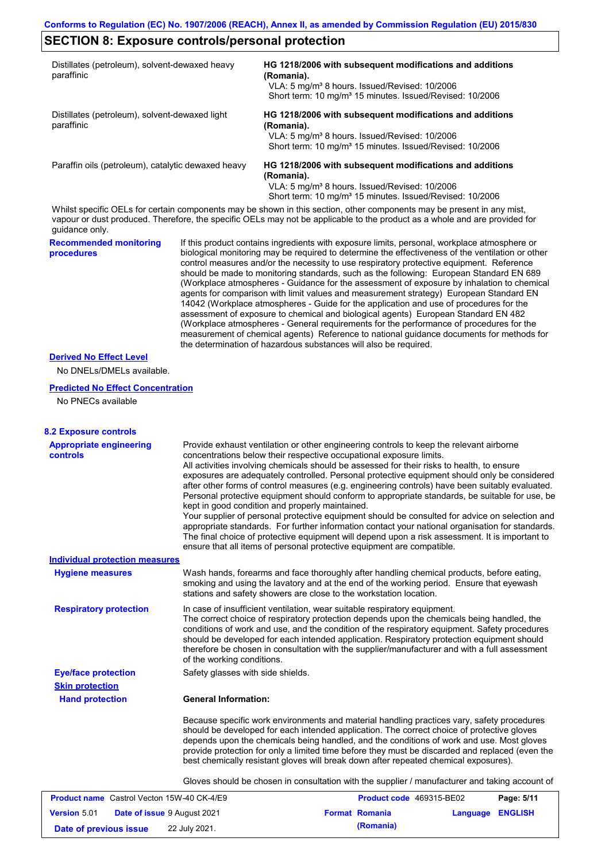## **SECTION 8: Exposure controls/personal protection**

| Distillates (petroleum), solvent-dewaxed heavy<br>paraffinic | HG 1218/2006 with subsequent modifications and additions<br>(Romania).                                                |  |  |  |
|--------------------------------------------------------------|-----------------------------------------------------------------------------------------------------------------------|--|--|--|
|                                                              | VLA: 5 mg/m <sup>3</sup> 8 hours. Issued/Revised: 10/2006                                                             |  |  |  |
|                                                              | Short term: 10 mg/m <sup>3</sup> 15 minutes. Issued/Revised: 10/2006                                                  |  |  |  |
| Distillates (petroleum), solvent-dewaxed light<br>paraffinic | HG 1218/2006 with subsequent modifications and additions<br>(Romania).                                                |  |  |  |
|                                                              | VLA: 5 mg/m <sup>3</sup> 8 hours. Issued/Revised: 10/2006                                                             |  |  |  |
|                                                              | Short term: 10 mg/m <sup>3</sup> 15 minutes. Issued/Revised: 10/2006                                                  |  |  |  |
| Paraffin oils (petroleum), catalytic dewaxed heavy           | HG 1218/2006 with subsequent modifications and additions                                                              |  |  |  |
|                                                              | (Romania).                                                                                                            |  |  |  |
|                                                              | VLA: 5 mg/m <sup>3</sup> 8 hours. Issued/Revised: 10/2006                                                             |  |  |  |
|                                                              | Short term: 10 mg/m <sup>3</sup> 15 minutes. Issued/Revised: 10/2006                                                  |  |  |  |
|                                                              | Whilst specific OFI s for certain components may be shown in this section other components may be present in any mist |  |  |  |

Whilst specific OELs for certain components may be shown in this section, other components may be present in any mist, vapour or dust produced. Therefore, the specific OELs may not be applicable to the product as a whole and are provided for guidance only.

**Recommended monitoring procedures** If this product contains ingredients with exposure limits, personal, workplace atmosphere or biological monitoring may be required to determine the effectiveness of the ventilation or other control measures and/or the necessity to use respiratory protective equipment. Reference should be made to monitoring standards, such as the following: European Standard EN 689 (Workplace atmospheres - Guidance for the assessment of exposure by inhalation to chemical agents for comparison with limit values and measurement strategy) European Standard EN 14042 (Workplace atmospheres - Guide for the application and use of procedures for the assessment of exposure to chemical and biological agents) European Standard EN 482 (Workplace atmospheres - General requirements for the performance of procedures for the measurement of chemical agents) Reference to national guidance documents for methods for the determination of hazardous substances will also be required.

#### **Derived No Effect Level**

No DNELs/DMELs available.

### **Predicted No Effect Concentration**

No PNECs available

| <b>8.2 Exposure controls</b>                      |                                                                                                                                                                                                                                                                                                                                                                                                                                                                                                                                                                                                                                                                                                                                                                                                                                                                                                                                                                                                         |                          |          |                |
|---------------------------------------------------|---------------------------------------------------------------------------------------------------------------------------------------------------------------------------------------------------------------------------------------------------------------------------------------------------------------------------------------------------------------------------------------------------------------------------------------------------------------------------------------------------------------------------------------------------------------------------------------------------------------------------------------------------------------------------------------------------------------------------------------------------------------------------------------------------------------------------------------------------------------------------------------------------------------------------------------------------------------------------------------------------------|--------------------------|----------|----------------|
| <b>Appropriate engineering</b><br><b>controls</b> | Provide exhaust ventilation or other engineering controls to keep the relevant airborne<br>concentrations below their respective occupational exposure limits.<br>All activities involving chemicals should be assessed for their risks to health, to ensure<br>exposures are adequately controlled. Personal protective equipment should only be considered<br>after other forms of control measures (e.g. engineering controls) have been suitably evaluated.<br>Personal protective equipment should conform to appropriate standards, be suitable for use, be<br>kept in good condition and properly maintained.<br>Your supplier of personal protective equipment should be consulted for advice on selection and<br>appropriate standards. For further information contact your national organisation for standards.<br>The final choice of protective equipment will depend upon a risk assessment. It is important to<br>ensure that all items of personal protective equipment are compatible. |                          |          |                |
| <b>Individual protection measures</b>             |                                                                                                                                                                                                                                                                                                                                                                                                                                                                                                                                                                                                                                                                                                                                                                                                                                                                                                                                                                                                         |                          |          |                |
| <b>Hygiene measures</b>                           | Wash hands, forearms and face thoroughly after handling chemical products, before eating,<br>smoking and using the lavatory and at the end of the working period. Ensure that eyewash<br>stations and safety showers are close to the workstation location.                                                                                                                                                                                                                                                                                                                                                                                                                                                                                                                                                                                                                                                                                                                                             |                          |          |                |
| <b>Respiratory protection</b>                     | In case of insufficient ventilation, wear suitable respiratory equipment.<br>The correct choice of respiratory protection depends upon the chemicals being handled, the<br>conditions of work and use, and the condition of the respiratory equipment. Safety procedures<br>should be developed for each intended application. Respiratory protection equipment should<br>therefore be chosen in consultation with the supplier/manufacturer and with a full assessment<br>of the working conditions.                                                                                                                                                                                                                                                                                                                                                                                                                                                                                                   |                          |          |                |
| <b>Eye/face protection</b>                        | Safety glasses with side shields.                                                                                                                                                                                                                                                                                                                                                                                                                                                                                                                                                                                                                                                                                                                                                                                                                                                                                                                                                                       |                          |          |                |
| <b>Skin protection</b>                            |                                                                                                                                                                                                                                                                                                                                                                                                                                                                                                                                                                                                                                                                                                                                                                                                                                                                                                                                                                                                         |                          |          |                |
| <b>Hand protection</b>                            | <b>General Information:</b>                                                                                                                                                                                                                                                                                                                                                                                                                                                                                                                                                                                                                                                                                                                                                                                                                                                                                                                                                                             |                          |          |                |
|                                                   | Because specific work environments and material handling practices vary, safety procedures<br>should be developed for each intended application. The correct choice of protective gloves<br>depends upon the chemicals being handled, and the conditions of work and use. Most gloves<br>provide protection for only a limited time before they must be discarded and replaced (even the<br>best chemically resistant gloves will break down after repeated chemical exposures).                                                                                                                                                                                                                                                                                                                                                                                                                                                                                                                        |                          |          |                |
|                                                   | Gloves should be chosen in consultation with the supplier / manufacturer and taking account of                                                                                                                                                                                                                                                                                                                                                                                                                                                                                                                                                                                                                                                                                                                                                                                                                                                                                                          |                          |          |                |
| <b>Product name</b> Castrol Vecton 15W-40 CK-4/E9 |                                                                                                                                                                                                                                                                                                                                                                                                                                                                                                                                                                                                                                                                                                                                                                                                                                                                                                                                                                                                         | Product code 469315-BE02 |          | Page: 5/11     |
| <b>Version 5.01</b>                               | Date of issue 9 August 2021                                                                                                                                                                                                                                                                                                                                                                                                                                                                                                                                                                                                                                                                                                                                                                                                                                                                                                                                                                             | <b>Format Romania</b>    | Language | <b>ENGLISH</b> |
| Date of previous issue                            | 22 July 2021.                                                                                                                                                                                                                                                                                                                                                                                                                                                                                                                                                                                                                                                                                                                                                                                                                                                                                                                                                                                           | (Romania)                |          |                |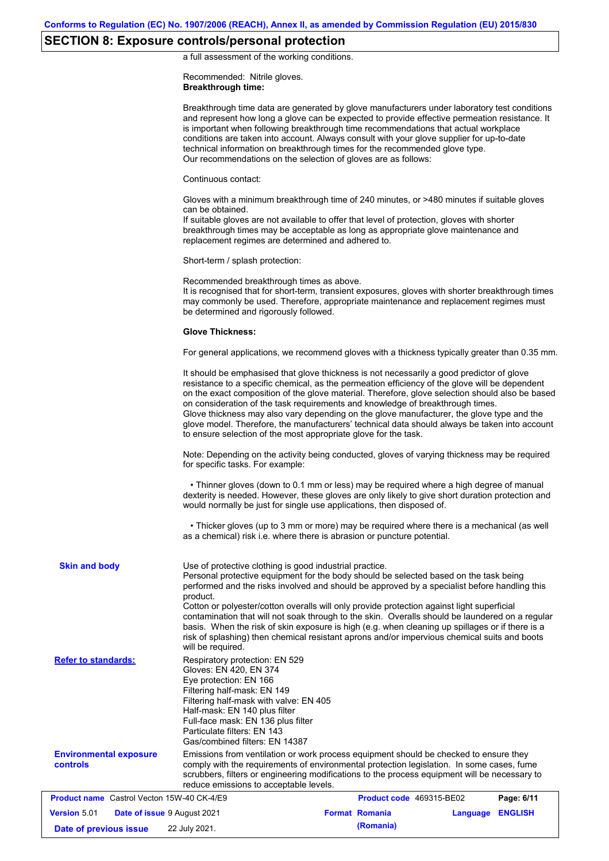# **SECTION 8: Exposure controls/personal protection**

a full assessment of the working conditions.

Recommended: Nitrile gloves. **Breakthrough time:**

|                                                   |                                                                                                                                                                                                                                                                                                     | Breakthrough time data are generated by glove manufacturers under laboratory test conditions<br>and represent how long a glove can be expected to provide effective permeation resistance. It<br>is important when following breakthrough time recommendations that actual workplace<br>conditions are taken into account. Always consult with your glove supplier for up-to-date<br>technical information on breakthrough times for the recommended glove type.<br>Our recommendations on the selection of gloves are as follows:                                                                                                                |                         |  |  |
|---------------------------------------------------|-----------------------------------------------------------------------------------------------------------------------------------------------------------------------------------------------------------------------------------------------------------------------------------------------------|---------------------------------------------------------------------------------------------------------------------------------------------------------------------------------------------------------------------------------------------------------------------------------------------------------------------------------------------------------------------------------------------------------------------------------------------------------------------------------------------------------------------------------------------------------------------------------------------------------------------------------------------------|-------------------------|--|--|
|                                                   | Continuous contact:                                                                                                                                                                                                                                                                                 |                                                                                                                                                                                                                                                                                                                                                                                                                                                                                                                                                                                                                                                   |                         |  |  |
|                                                   | can be obtained.<br>replacement regimes are determined and adhered to.                                                                                                                                                                                                                              | Gloves with a minimum breakthrough time of 240 minutes, or >480 minutes if suitable gloves<br>If suitable gloves are not available to offer that level of protection, gloves with shorter<br>breakthrough times may be acceptable as long as appropriate glove maintenance and                                                                                                                                                                                                                                                                                                                                                                    |                         |  |  |
|                                                   | Short-term / splash protection:                                                                                                                                                                                                                                                                     |                                                                                                                                                                                                                                                                                                                                                                                                                                                                                                                                                                                                                                                   |                         |  |  |
|                                                   | Recommended breakthrough times as above.<br>be determined and rigorously followed.                                                                                                                                                                                                                  | It is recognised that for short-term, transient exposures, gloves with shorter breakthrough times<br>may commonly be used. Therefore, appropriate maintenance and replacement regimes must                                                                                                                                                                                                                                                                                                                                                                                                                                                        |                         |  |  |
|                                                   | <b>Glove Thickness:</b>                                                                                                                                                                                                                                                                             |                                                                                                                                                                                                                                                                                                                                                                                                                                                                                                                                                                                                                                                   |                         |  |  |
|                                                   |                                                                                                                                                                                                                                                                                                     | For general applications, we recommend gloves with a thickness typically greater than 0.35 mm.                                                                                                                                                                                                                                                                                                                                                                                                                                                                                                                                                    |                         |  |  |
|                                                   |                                                                                                                                                                                                                                                                                                     | It should be emphasised that glove thickness is not necessarily a good predictor of glove<br>resistance to a specific chemical, as the permeation efficiency of the glove will be dependent<br>on the exact composition of the glove material. Therefore, glove selection should also be based<br>on consideration of the task requirements and knowledge of breakthrough times.<br>Glove thickness may also vary depending on the glove manufacturer, the glove type and the<br>glove model. Therefore, the manufacturers' technical data should always be taken into account<br>to ensure selection of the most appropriate glove for the task. |                         |  |  |
|                                                   | Note: Depending on the activity being conducted, gloves of varying thickness may be required<br>for specific tasks. For example:                                                                                                                                                                    |                                                                                                                                                                                                                                                                                                                                                                                                                                                                                                                                                                                                                                                   |                         |  |  |
|                                                   |                                                                                                                                                                                                                                                                                                     | • Thinner gloves (down to 0.1 mm or less) may be required where a high degree of manual<br>dexterity is needed. However, these gloves are only likely to give short duration protection and<br>would normally be just for single use applications, then disposed of.                                                                                                                                                                                                                                                                                                                                                                              |                         |  |  |
|                                                   |                                                                                                                                                                                                                                                                                                     | • Thicker gloves (up to 3 mm or more) may be required where there is a mechanical (as well<br>as a chemical) risk i.e. where there is abrasion or puncture potential.                                                                                                                                                                                                                                                                                                                                                                                                                                                                             |                         |  |  |
| <b>Skin and body</b>                              | Use of protective clothing is good industrial practice.<br>product.<br>will be required.                                                                                                                                                                                                            | Personal protective equipment for the body should be selected based on the task being<br>performed and the risks involved and should be approved by a specialist before handling this<br>Cotton or polyester/cotton overalls will only provide protection against light superficial<br>contamination that will not soak through to the skin. Overalls should be laundered on a regular<br>basis. When the risk of skin exposure is high (e.g. when cleaning up spillages or if there is a<br>risk of splashing) then chemical resistant aprons and/or impervious chemical suits and boots                                                         |                         |  |  |
| <b>Refer to standards:</b>                        | Respiratory protection: EN 529<br>Gloves: EN 420, EN 374<br>Eye protection: EN 166<br>Filtering half-mask: EN 149<br>Filtering half-mask with valve: EN 405<br>Half-mask: EN 140 plus filter<br>Full-face mask: EN 136 plus filter<br>Particulate filters: EN 143<br>Gas/combined filters: EN 14387 |                                                                                                                                                                                                                                                                                                                                                                                                                                                                                                                                                                                                                                                   |                         |  |  |
| <b>Environmental exposure</b><br><b>controls</b>  | reduce emissions to acceptable levels.                                                                                                                                                                                                                                                              | Emissions from ventilation or work process equipment should be checked to ensure they<br>comply with the requirements of environmental protection legislation. In some cases, fume<br>scrubbers, filters or engineering modifications to the process equipment will be necessary to                                                                                                                                                                                                                                                                                                                                                               |                         |  |  |
| <b>Product name</b> Castrol Vecton 15W-40 CK-4/E9 |                                                                                                                                                                                                                                                                                                     | Product code 469315-BE02                                                                                                                                                                                                                                                                                                                                                                                                                                                                                                                                                                                                                          | Page: 6/11              |  |  |
| <b>Version 5.01</b>                               | Date of issue 9 August 2021                                                                                                                                                                                                                                                                         | <b>Format Romania</b>                                                                                                                                                                                                                                                                                                                                                                                                                                                                                                                                                                                                                             | <b>Language ENGLISH</b> |  |  |
| Date of previous issue                            | 22 July 2021.                                                                                                                                                                                                                                                                                       | (Romania)                                                                                                                                                                                                                                                                                                                                                                                                                                                                                                                                                                                                                                         |                         |  |  |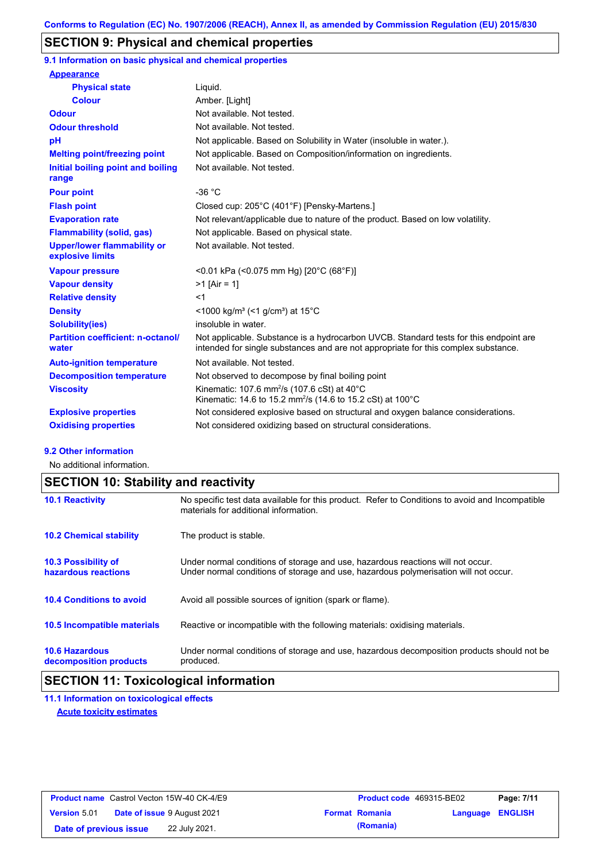## **SECTION 9: Physical and chemical properties**

**9.1 Information on basic physical and chemical properties**

| <b>Appearance</b>                                      |                                                                                                                                                                             |
|--------------------------------------------------------|-----------------------------------------------------------------------------------------------------------------------------------------------------------------------------|
| <b>Physical state</b>                                  | Liquid.                                                                                                                                                                     |
| <b>Colour</b>                                          | Amber. [Light]                                                                                                                                                              |
| <b>Odour</b>                                           | Not available. Not tested.                                                                                                                                                  |
| <b>Odour threshold</b>                                 | Not available. Not tested.                                                                                                                                                  |
| pH                                                     | Not applicable. Based on Solubility in Water (insoluble in water.).                                                                                                         |
| <b>Melting point/freezing point</b>                    | Not applicable. Based on Composition/information on ingredients.                                                                                                            |
| Initial boiling point and boiling<br>range             | Not available. Not tested.                                                                                                                                                  |
| <b>Pour point</b>                                      | $-36 °C$                                                                                                                                                                    |
| <b>Flash point</b>                                     | Closed cup: 205°C (401°F) [Pensky-Martens.]                                                                                                                                 |
| <b>Evaporation rate</b>                                | Not relevant/applicable due to nature of the product. Based on low volatility.                                                                                              |
| <b>Flammability (solid, gas)</b>                       | Not applicable. Based on physical state.                                                                                                                                    |
| <b>Upper/lower flammability or</b><br>explosive limits | Not available. Not tested.                                                                                                                                                  |
| <b>Vapour pressure</b>                                 | <0.01 kPa (<0.075 mm Hg) [20°C (68°F)]                                                                                                                                      |
| <b>Vapour density</b>                                  | $>1$ [Air = 1]                                                                                                                                                              |
| <b>Relative density</b>                                | $<$ 1                                                                                                                                                                       |
| <b>Density</b>                                         | $\leq$ 1000 kg/m <sup>3</sup> ( $\leq$ 1 g/cm <sup>3</sup> ) at 15 <sup>°</sup> C                                                                                           |
| <b>Solubility(ies)</b>                                 | insoluble in water.                                                                                                                                                         |
| <b>Partition coefficient: n-octanol/</b><br>water      | Not applicable. Substance is a hydrocarbon UVCB. Standard tests for this endpoint are<br>intended for single substances and are not appropriate for this complex substance. |
| <b>Auto-ignition temperature</b>                       | Not available. Not tested.                                                                                                                                                  |
| <b>Decomposition temperature</b>                       | Not observed to decompose by final boiling point                                                                                                                            |
| <b>Viscosity</b>                                       | Kinematic: 107.6 mm <sup>2</sup> /s (107.6 cSt) at $40^{\circ}$ C<br>Kinematic: 14.6 to 15.2 mm <sup>2</sup> /s (14.6 to 15.2 cSt) at 100°C                                 |
| <b>Explosive properties</b>                            | Not considered explosive based on structural and oxygen balance considerations.                                                                                             |
| <b>Oxidising properties</b>                            | Not considered oxidizing based on structural considerations.                                                                                                                |

#### **9.2 Other information**

No additional information.

# **SECTION 10: Stability and reactivity**

| <b>10.1 Reactivity</b>                            | No specific test data available for this product. Refer to Conditions to avoid and Incompatible<br>materials for additional information.                                |
|---------------------------------------------------|-------------------------------------------------------------------------------------------------------------------------------------------------------------------------|
| <b>10.2 Chemical stability</b>                    | The product is stable.                                                                                                                                                  |
| <b>10.3 Possibility of</b><br>hazardous reactions | Under normal conditions of storage and use, hazardous reactions will not occur.<br>Under normal conditions of storage and use, hazardous polymerisation will not occur. |
| <b>10.4 Conditions to avoid</b>                   | Avoid all possible sources of ignition (spark or flame).                                                                                                                |
| <b>10.5 Incompatible materials</b>                | Reactive or incompatible with the following materials: oxidising materials.                                                                                             |
| <b>10.6 Hazardous</b><br>decomposition products   | Under normal conditions of storage and use, hazardous decomposition products should not be<br>produced.                                                                 |

## **SECTION 11: Toxicological information**

**11.1 Information on toxicological effects Acute toxicity estimates**

| <b>Product name</b> Castrol Vecton 15W-40 CK-4/E9 |  | <b>Product code</b> 469315-BE02    |  | Page: 7/11            |                  |  |
|---------------------------------------------------|--|------------------------------------|--|-----------------------|------------------|--|
| <b>Version 5.01</b>                               |  | <b>Date of issue 9 August 2021</b> |  | <b>Format Romania</b> | Language ENGLISH |  |
| Date of previous issue                            |  | 22 July 2021.                      |  | (Romania)             |                  |  |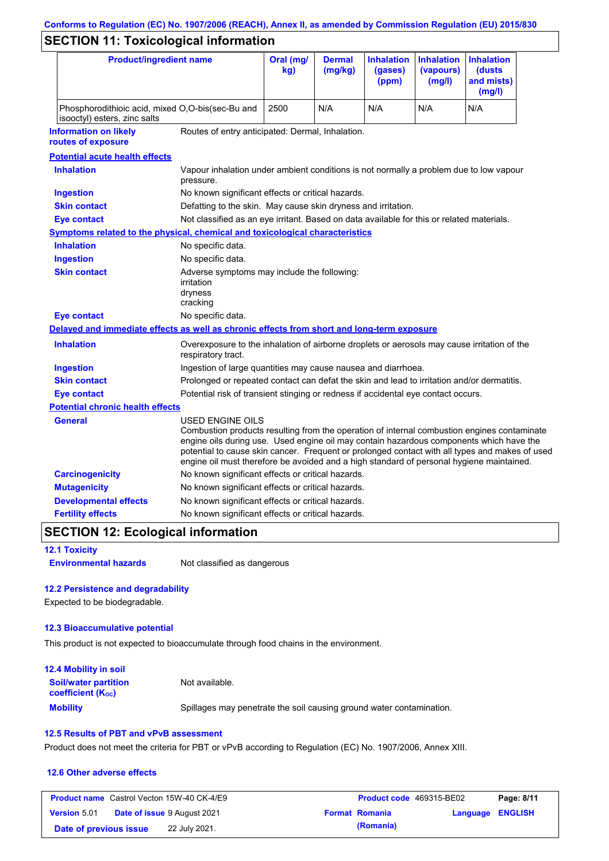# **Conforms to Regulation (EC) No. 1907/2006 (REACH), Annex II, as amended by Commission Regulation (EU) 2015/830**

# **SECTION 11: Toxicological information**

| <b>Product/ingredient name</b>                                                             |                                                                                                                                                                                                                                                                                                                                                                                                          | Oral (mg/<br>kg)                                                                           | <b>Dermal</b><br>(mg/kg) | <b>Inhalation</b><br>(gases)<br>(ppm) | <b>Inhalation</b><br>(vapours)<br>(mg/l) | <b>Inhalation</b><br>(dusts)<br>and mists)<br>(mg/l) |
|--------------------------------------------------------------------------------------------|----------------------------------------------------------------------------------------------------------------------------------------------------------------------------------------------------------------------------------------------------------------------------------------------------------------------------------------------------------------------------------------------------------|--------------------------------------------------------------------------------------------|--------------------------|---------------------------------------|------------------------------------------|------------------------------------------------------|
| Phosphorodithioic acid, mixed O,O-bis(sec-Bu and<br>isooctyl) esters, zinc salts           |                                                                                                                                                                                                                                                                                                                                                                                                          | 2500                                                                                       | N/A                      | N/A                                   | N/A                                      | N/A                                                  |
| <b>Information on likely</b><br>routes of exposure                                         | Routes of entry anticipated: Dermal, Inhalation.                                                                                                                                                                                                                                                                                                                                                         |                                                                                            |                          |                                       |                                          |                                                      |
| <b>Potential acute health effects</b>                                                      |                                                                                                                                                                                                                                                                                                                                                                                                          |                                                                                            |                          |                                       |                                          |                                                      |
| <b>Inhalation</b>                                                                          | Vapour inhalation under ambient conditions is not normally a problem due to low vapour<br>pressure.                                                                                                                                                                                                                                                                                                      |                                                                                            |                          |                                       |                                          |                                                      |
| <b>Ingestion</b>                                                                           | No known significant effects or critical hazards.                                                                                                                                                                                                                                                                                                                                                        |                                                                                            |                          |                                       |                                          |                                                      |
| <b>Skin contact</b>                                                                        | Defatting to the skin. May cause skin dryness and irritation.                                                                                                                                                                                                                                                                                                                                            |                                                                                            |                          |                                       |                                          |                                                      |
| <b>Eye contact</b>                                                                         | Not classified as an eye irritant. Based on data available for this or related materials.                                                                                                                                                                                                                                                                                                                |                                                                                            |                          |                                       |                                          |                                                      |
| <b>Symptoms related to the physical, chemical and toxicological characteristics</b>        |                                                                                                                                                                                                                                                                                                                                                                                                          |                                                                                            |                          |                                       |                                          |                                                      |
| <b>Inhalation</b>                                                                          | No specific data.                                                                                                                                                                                                                                                                                                                                                                                        |                                                                                            |                          |                                       |                                          |                                                      |
| <b>Ingestion</b>                                                                           | No specific data.                                                                                                                                                                                                                                                                                                                                                                                        |                                                                                            |                          |                                       |                                          |                                                      |
| <b>Skin contact</b>                                                                        | Adverse symptoms may include the following:<br>irritation<br>dryness<br>cracking                                                                                                                                                                                                                                                                                                                         |                                                                                            |                          |                                       |                                          |                                                      |
| <b>Eye contact</b>                                                                         | No specific data.                                                                                                                                                                                                                                                                                                                                                                                        |                                                                                            |                          |                                       |                                          |                                                      |
| Delayed and immediate effects as well as chronic effects from short and long-term exposure |                                                                                                                                                                                                                                                                                                                                                                                                          |                                                                                            |                          |                                       |                                          |                                                      |
| <b>Inhalation</b>                                                                          | Overexposure to the inhalation of airborne droplets or aerosols may cause irritation of the<br>respiratory tract.                                                                                                                                                                                                                                                                                        |                                                                                            |                          |                                       |                                          |                                                      |
| <b>Ingestion</b>                                                                           | Ingestion of large quantities may cause nausea and diarrhoea.                                                                                                                                                                                                                                                                                                                                            |                                                                                            |                          |                                       |                                          |                                                      |
| <b>Skin contact</b>                                                                        |                                                                                                                                                                                                                                                                                                                                                                                                          | Prolonged or repeated contact can defat the skin and lead to irritation and/or dermatitis. |                          |                                       |                                          |                                                      |
| <b>Eye contact</b>                                                                         |                                                                                                                                                                                                                                                                                                                                                                                                          | Potential risk of transient stinging or redness if accidental eye contact occurs.          |                          |                                       |                                          |                                                      |
| <b>Potential chronic health effects</b>                                                    |                                                                                                                                                                                                                                                                                                                                                                                                          |                                                                                            |                          |                                       |                                          |                                                      |
| General                                                                                    | USED ENGINE OILS<br>Combustion products resulting from the operation of internal combustion engines contaminate<br>engine oils during use. Used engine oil may contain hazardous components which have the<br>potential to cause skin cancer. Frequent or prolonged contact with all types and makes of used<br>engine oil must therefore be avoided and a high standard of personal hygiene maintained. |                                                                                            |                          |                                       |                                          |                                                      |
| <b>Carcinogenicity</b>                                                                     | No known significant effects or critical hazards.                                                                                                                                                                                                                                                                                                                                                        |                                                                                            |                          |                                       |                                          |                                                      |
| <b>Mutagenicity</b>                                                                        | No known significant effects or critical hazards.                                                                                                                                                                                                                                                                                                                                                        |                                                                                            |                          |                                       |                                          |                                                      |
| <b>Developmental effects</b>                                                               | No known significant effects or critical hazards.                                                                                                                                                                                                                                                                                                                                                        |                                                                                            |                          |                                       |                                          |                                                      |
| <b>Fertility effects</b>                                                                   | No known significant effects or critical hazards.                                                                                                                                                                                                                                                                                                                                                        |                                                                                            |                          |                                       |                                          |                                                      |

## **SECTION 12: Ecological information**

**12.1 Toxicity**

**Environmental hazards** Not classified as dangerous

### **12.2 Persistence and degradability**

Expected to be biodegradable.

### **12.3 Bioaccumulative potential**

This product is not expected to bioaccumulate through food chains in the environment.

| <b>12.4 Mobility in soil</b>                                         |                                                                      |
|----------------------------------------------------------------------|----------------------------------------------------------------------|
| <b>Soil/water partition</b><br><b>coefficient</b> (K <sub>oc</sub> ) | Not available.                                                       |
| <b>Mobility</b>                                                      | Spillages may penetrate the soil causing ground water contamination. |

### **12.5 Results of PBT and vPvB assessment**

Product does not meet the criteria for PBT or vPvB according to Regulation (EC) No. 1907/2006, Annex XIII.

### **12.6 Other adverse effects**

| <b>Product name</b> Castrol Vecton 15W-40 CK-4/E9 |  | <b>Product code</b> 469315-BE02    |                       | Page: 8/11       |  |
|---------------------------------------------------|--|------------------------------------|-----------------------|------------------|--|
| <b>Version 5.01</b>                               |  | <b>Date of issue 9 August 2021</b> | <b>Format Romania</b> | Language ENGLISH |  |
| Date of previous issue                            |  | 22 July 2021.                      | (Romania)             |                  |  |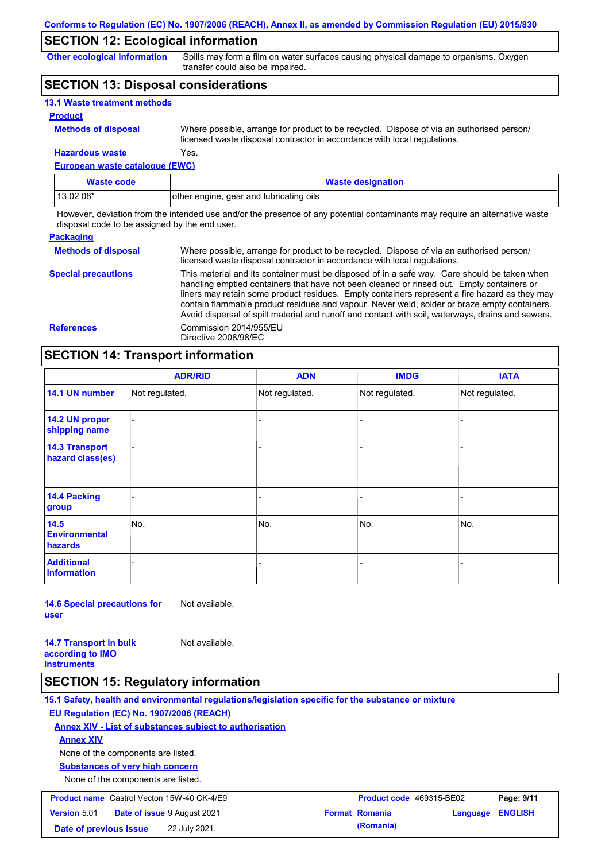## **SECTION 12: Ecological information**

**Other ecological information**

Spills may form a film on water surfaces causing physical damage to organisms. Oxygen transfer could also be impaired.

## **SECTION 13: Disposal considerations**

| <b>13.1 Waste treatment methods</b> |                                                                                                                                                                      |
|-------------------------------------|----------------------------------------------------------------------------------------------------------------------------------------------------------------------|
| <b>Product</b>                      |                                                                                                                                                                      |
| <b>Methods of disposal</b>          | Where possible, arrange for product to be recycled. Dispose of via an authorised person/<br>licensed waste disposal contractor in accordance with local regulations. |
| <b>Hazardous waste</b>              | Yes.                                                                                                                                                                 |

**European waste catalogue (EWC)**

| Waste code | <b>Waste designation</b>                |
|------------|-----------------------------------------|
| $130208*$  | other engine, gear and lubricating oils |

However, deviation from the intended use and/or the presence of any potential contaminants may require an alternative waste disposal code to be assigned by the end user.

#### **Packaging Methods of disposal Special precautions** Where possible, arrange for product to be recycled. Dispose of via an authorised person/ licensed waste disposal contractor in accordance with local regulations. This material and its container must be disposed of in a safe way. Care should be taken when handling emptied containers that have not been cleaned or rinsed out. Empty containers or liners may retain some product residues. Empty containers represent a fire hazard as they may contain flammable product residues and vapour. Never weld, solder or braze empty containers. Avoid dispersal of spilt material and runoff and contact with soil, waterways, drains and sewers. **References** Commission 2014/955/EU Directive 2008/98/EC

## **SECTION 14: Transport information**

|                                           | <b>ADR/RID</b> | <b>ADN</b>     | <b>IMDG</b>    | <b>IATA</b>    |  |  |  |
|-------------------------------------------|----------------|----------------|----------------|----------------|--|--|--|
| 14.1 UN number                            | Not regulated. | Not regulated. | Not regulated. | Not regulated. |  |  |  |
| 14.2 UN proper<br>shipping name           |                |                | ۳              |                |  |  |  |
| <b>14.3 Transport</b><br>hazard class(es) |                |                | -              |                |  |  |  |
| 14.4 Packing<br>group                     |                |                | -              |                |  |  |  |
| 14.5<br><b>Environmental</b><br>hazards   | No.            | No.            | No.            | No.            |  |  |  |
| <b>Additional</b><br><b>information</b>   |                |                |                |                |  |  |  |

**14.6 Special precautions for user** Not available.

**14.7 Transport in bulk according to IMO instruments** Not available.

### **SECTION 15: Regulatory information**

**15.1 Safety, health and environmental regulations/legislation specific for the substance or mixture EU Regulation (EC) No. 1907/2006 (REACH) Annex XIV - List of substances subject to authorisation Substances of very high concern** None of the components are listed. None of the components are listed. **Annex XIV Product name** Castrol Vecton 15W-40 CK-4/E9 **Product Code 469315-BE02 Page: 9/11 Version** 5.01 **Date of issue** 9 August 2021 **Format Romania Language ENGLISH Date of previous issue 22 July 2021. (Romania) (Romania)**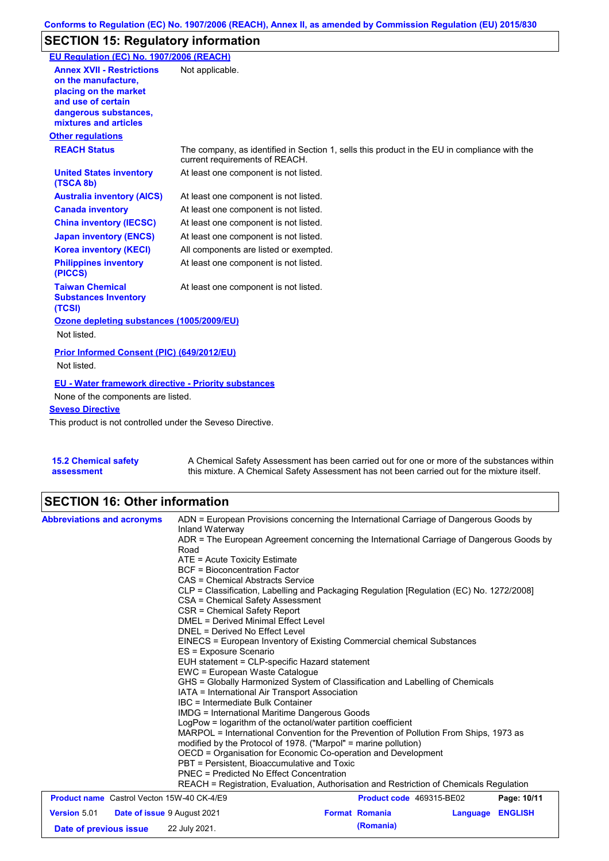# **SECTION 15: Regulatory information**

| EU Regulation (EC) No. 1907/2006 (REACH)                                                                                                                 |                                                                                                                                |
|----------------------------------------------------------------------------------------------------------------------------------------------------------|--------------------------------------------------------------------------------------------------------------------------------|
| <b>Annex XVII - Restrictions</b><br>on the manufacture.<br>placing on the market<br>and use of certain<br>dangerous substances,<br>mixtures and articles | Not applicable.                                                                                                                |
| <b>Other regulations</b>                                                                                                                                 |                                                                                                                                |
| <b>REACH Status</b>                                                                                                                                      | The company, as identified in Section 1, sells this product in the EU in compliance with the<br>current requirements of REACH. |
| <b>United States inventory</b><br>(TSCA 8b)                                                                                                              | At least one component is not listed.                                                                                          |
| <b>Australia inventory (AICS)</b>                                                                                                                        | At least one component is not listed.                                                                                          |
| <b>Canada inventory</b>                                                                                                                                  | At least one component is not listed.                                                                                          |
| <b>China inventory (IECSC)</b>                                                                                                                           | At least one component is not listed.                                                                                          |
| <b>Japan inventory (ENCS)</b>                                                                                                                            | At least one component is not listed.                                                                                          |
| <b>Korea inventory (KECI)</b>                                                                                                                            | All components are listed or exempted.                                                                                         |
| <b>Philippines inventory</b><br>(PICCS)                                                                                                                  | At least one component is not listed.                                                                                          |
| <b>Taiwan Chemical</b><br><b>Substances Inventory</b><br>(TCSI)                                                                                          | At least one component is not listed.                                                                                          |
| Ozone depleting substances (1005/2009/EU)<br>Not listed.                                                                                                 |                                                                                                                                |
| <b>Prior Informed Consent (PIC) (649/2012/EU)</b><br>Not listed.                                                                                         |                                                                                                                                |
| <b>EU - Water framework directive - Priority substances</b>                                                                                              |                                                                                                                                |
| None of the components are listed.                                                                                                                       |                                                                                                                                |
| <b>Seveso Directive</b>                                                                                                                                  |                                                                                                                                |
| This product is not controlled under the Seveso Directive.                                                                                               |                                                                                                                                |

**15.2 Chemical safety assessment** A Chemical Safety Assessment has been carried out for one or more of the substances within this mixture. A Chemical Safety Assessment has not been carried out for the mixture itself.

# **SECTION 16: Other information**

| <b>Abbreviations and acronyms</b>                         | ADN = European Provisions concerning the International Carriage of Dangerous Goods by<br>Inland Waterway<br>ADR = The European Agreement concerning the International Carriage of Dangerous Goods by                                                                                                                                                                                                                                                                                                                  |                          |          |                |  |
|-----------------------------------------------------------|-----------------------------------------------------------------------------------------------------------------------------------------------------------------------------------------------------------------------------------------------------------------------------------------------------------------------------------------------------------------------------------------------------------------------------------------------------------------------------------------------------------------------|--------------------------|----------|----------------|--|
|                                                           | Road<br>$ATE = Acute Toxicity Estimate$<br><b>BCF</b> = Bioconcentration Factor<br>CAS = Chemical Abstracts Service<br>CLP = Classification, Labelling and Packaging Regulation [Regulation (EC) No. 1272/2008]<br>CSA = Chemical Safety Assessment                                                                                                                                                                                                                                                                   |                          |          |                |  |
|                                                           | CSR = Chemical Safety Report<br>DMEL = Derived Minimal Effect Level<br>DNEL = Derived No Effect Level<br>EINECS = European Inventory of Existing Commercial chemical Substances<br>ES = Exposure Scenario<br>EUH statement = CLP-specific Hazard statement<br>EWC = European Waste Catalogue<br>GHS = Globally Harmonized System of Classification and Labelling of Chemicals<br>IATA = International Air Transport Association<br>IBC = Intermediate Bulk Container<br>IMDG = International Maritime Dangerous Goods |                          |          |                |  |
|                                                           |                                                                                                                                                                                                                                                                                                                                                                                                                                                                                                                       |                          |          |                |  |
|                                                           |                                                                                                                                                                                                                                                                                                                                                                                                                                                                                                                       |                          |          |                |  |
|                                                           |                                                                                                                                                                                                                                                                                                                                                                                                                                                                                                                       |                          |          |                |  |
|                                                           |                                                                                                                                                                                                                                                                                                                                                                                                                                                                                                                       |                          |          |                |  |
|                                                           | PBT = Persistent, Bioaccumulative and Toxic<br>PNEC = Predicted No Effect Concentration<br>REACH = Registration, Evaluation, Authorisation and Restriction of Chemicals Regulation                                                                                                                                                                                                                                                                                                                                    |                          |          |                |  |
| <b>Product name</b> Castrol Vecton 15W-40 CK-4/E9         |                                                                                                                                                                                                                                                                                                                                                                                                                                                                                                                       | Product code 469315-BE02 |          | Page: 10/11    |  |
| <b>Version 5.01</b><br><b>Date of issue 9 August 2021</b> |                                                                                                                                                                                                                                                                                                                                                                                                                                                                                                                       | <b>Format Romania</b>    | Language | <b>ENGLISH</b> |  |
| Date of previous issue                                    | 22 July 2021.                                                                                                                                                                                                                                                                                                                                                                                                                                                                                                         | (Romania)                |          |                |  |